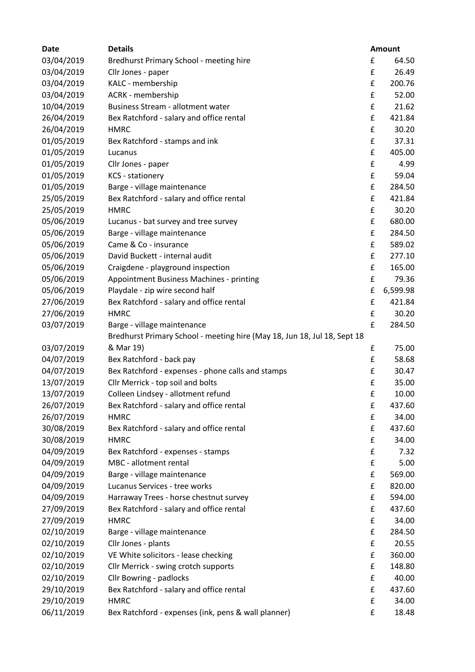| <b>Date</b> | <b>Details</b>                                                           |   | <b>Amount</b> |
|-------------|--------------------------------------------------------------------------|---|---------------|
| 03/04/2019  | Bredhurst Primary School - meeting hire                                  | £ | 64.50         |
| 03/04/2019  | Cllr Jones - paper                                                       | £ | 26.49         |
| 03/04/2019  | KALC - membership                                                        | £ | 200.76        |
| 03/04/2019  | ACRK - membership                                                        | £ | 52.00         |
| 10/04/2019  | <b>Business Stream - allotment water</b>                                 | £ | 21.62         |
| 26/04/2019  | Bex Ratchford - salary and office rental                                 | £ | 421.84        |
| 26/04/2019  | <b>HMRC</b>                                                              | £ | 30.20         |
| 01/05/2019  | Bex Ratchford - stamps and ink                                           | £ | 37.31         |
| 01/05/2019  | Lucanus                                                                  | £ | 405.00        |
| 01/05/2019  | Cllr Jones - paper                                                       | £ | 4.99          |
| 01/05/2019  | <b>KCS</b> - stationery                                                  | £ | 59.04         |
| 01/05/2019  | Barge - village maintenance                                              | £ | 284.50        |
| 25/05/2019  | Bex Ratchford - salary and office rental                                 | £ | 421.84        |
| 25/05/2019  | <b>HMRC</b>                                                              | £ | 30.20         |
| 05/06/2019  | Lucanus - bat survey and tree survey                                     | £ | 680.00        |
| 05/06/2019  | Barge - village maintenance                                              | £ | 284.50        |
| 05/06/2019  | Came & Co - insurance                                                    | £ | 589.02        |
| 05/06/2019  | David Buckett - internal audit                                           | £ | 277.10        |
| 05/06/2019  | Craigdene - playground inspection                                        | £ | 165.00        |
| 05/06/2019  | <b>Appointment Business Machines - printing</b>                          | £ | 79.36         |
| 05/06/2019  | Playdale - zip wire second half                                          | £ | 6,599.98      |
| 27/06/2019  | Bex Ratchford - salary and office rental                                 | £ | 421.84        |
| 27/06/2019  | <b>HMRC</b>                                                              | £ | 30.20         |
| 03/07/2019  | Barge - village maintenance                                              | £ | 284.50        |
|             | Bredhurst Primary School - meeting hire (May 18, Jun 18, Jul 18, Sept 18 |   |               |
| 03/07/2019  | & Mar 19)                                                                | £ | 75.00         |
| 04/07/2019  | Bex Ratchford - back pay                                                 | £ | 58.68         |
| 04/07/2019  | Bex Ratchford - expenses - phone calls and stamps                        | £ | 30.47         |
| 13/07/2019  | Cllr Merrick - top soil and bolts                                        | £ | 35.00         |
| 13/07/2019  | Colleen Lindsey - allotment refund                                       | £ | 10.00         |
| 26/07/2019  | Bex Ratchford - salary and office rental                                 | £ | 437.60        |
| 26/07/2019  | <b>HMRC</b>                                                              | £ | 34.00         |
| 30/08/2019  | Bex Ratchford - salary and office rental                                 | £ | 437.60        |
| 30/08/2019  | <b>HMRC</b>                                                              | £ | 34.00         |
| 04/09/2019  | Bex Ratchford - expenses - stamps                                        | £ | 7.32          |
| 04/09/2019  | MBC - allotment rental                                                   | £ | 5.00          |
| 04/09/2019  | Barge - village maintenance                                              | £ | 569.00        |
| 04/09/2019  | Lucanus Services - tree works                                            | £ | 820.00        |
| 04/09/2019  | Harraway Trees - horse chestnut survey                                   | £ | 594.00        |
| 27/09/2019  | Bex Ratchford - salary and office rental                                 | £ | 437.60        |
| 27/09/2019  | <b>HMRC</b>                                                              | £ | 34.00         |
| 02/10/2019  | Barge - village maintenance                                              | £ | 284.50        |
| 02/10/2019  | Cllr Jones - plants                                                      | £ | 20.55         |
| 02/10/2019  | VE White solicitors - lease checking                                     | £ | 360.00        |
| 02/10/2019  | Cllr Merrick - swing crotch supports                                     | £ | 148.80        |
| 02/10/2019  | <b>Cllr Bowring - padlocks</b>                                           | £ | 40.00         |
| 29/10/2019  | Bex Ratchford - salary and office rental                                 | £ | 437.60        |
| 29/10/2019  | <b>HMRC</b>                                                              | £ | 34.00         |
| 06/11/2019  | Bex Ratchford - expenses (ink, pens & wall planner)                      | £ | 18.48         |